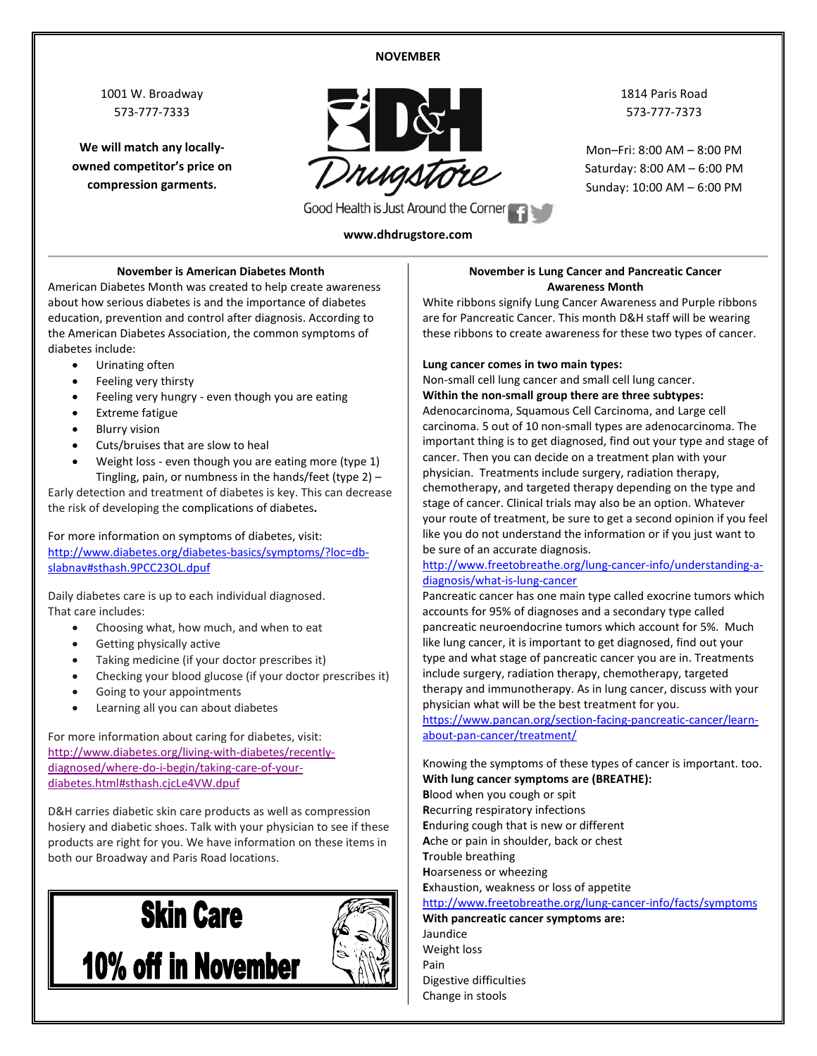#### **NOVEMBER**

1001 W. Broadway 573-777-7333

**We will match any locallyowned competitor's price on compression garments.**



1814 Paris Road 573-777-7373

Mon–Fri: 8:00 AM – 8:00 PM Saturday: 8:00 AM – 6:00 PM Sunday: 10:00 AM – 6:00 PM

#### **www.dhdrugstore.com**

#### **November is American Diabetes Month**

American Diabetes Month was created to help create awareness about how serious diabetes is and the importance of diabetes education, prevention and control after diagnosis. According to the American Diabetes Association, the common symptoms of diabetes include:

- Urinating often
- Feeling very thirsty
- Feeling very hungry even though you are eating
- Extreme fatigue
- Blurry vision
- Cuts/bruises that are slow to heal
- Weight loss even though you are eating more (type 1) Tingling, pain, or numbness in the hands/feet (type 2) –

Early detection and treatment of diabetes is key. This can decrease the risk of developing the [complications](http://www.diabetes.org/living-with-diabetes/complications/?loc=symptoms) of diabetes**.**

For more information on symptoms of diabetes, visit: [http://www.diabetes.org/diabetes-basics/symptoms/?loc=db](http://www.diabetes.org/diabetes-basics/symptoms/?loc=db-slabnav%23sthash.9PCC23OL.dpuf)[slabnav#sthash.9PCC23OL.dpuf](http://www.diabetes.org/diabetes-basics/symptoms/?loc=db-slabnav%23sthash.9PCC23OL.dpuf)

Daily diabetes care is up to each individual diagnosed. That care includes:

- Choosing what, how much, and when to eat
- Getting physically active
- Taking medicine (if your doctor prescribes it)
- Checking your blood glucose (if your doctor prescribes it)
- Going to your appointments
- Learning all you can about diabetes

For more information about caring for diabetes, visit: [http://www.diabetes.org/living-with-diabetes/recently](http://www.diabetes.org/living-with-diabetes/recently-diagnosed/where-do-i-begin/taking-care-of-your-diabetes.html%23sthash.cjcLe4VW.dpuf)[diagnosed/where-do-i-begin/taking-care-of-your](http://www.diabetes.org/living-with-diabetes/recently-diagnosed/where-do-i-begin/taking-care-of-your-diabetes.html%23sthash.cjcLe4VW.dpuf)[diabetes.html#sthash.cjcLe4VW.dpuf](http://www.diabetes.org/living-with-diabetes/recently-diagnosed/where-do-i-begin/taking-care-of-your-diabetes.html%23sthash.cjcLe4VW.dpuf)

D&H carries diabetic skin care products as well as compression hosiery and diabetic shoes. Talk with your physician to see if these products are right for you. We have information on these items in both our Broadway and Paris Road locations.



#### **November is Lung Cancer and Pancreatic Cancer Awareness Month**

White ribbons signify Lung Cancer Awareness and Purple ribbons are for Pancreatic Cancer. This month D&H staff will be wearing these ribbons to create awareness for these two types of cancer.

#### **Lung cancer comes in two main types:**

Non-small cell lung cancer and small cell lung cancer. **Within the non-small group there are three subtypes:** 

Adenocarcinoma, Squamous Cell Carcinoma, and Large cell carcinoma. 5 out of 10 non-small types are adenocarcinoma. The important thing is to get diagnosed, find out your type and stage of cancer. Then you can decide on a treatment plan with your physician. Treatments include surgery, radiation therapy, chemotherapy, and targeted therapy depending on the type and stage of cancer. Clinical trials may also be an option. Whatever your route of treatment, be sure to get a second opinion if you feel like you do not understand the information or if you just want to be sure of an accurate diagnosis.

#### [http://www.freetobreathe.org/lung-cancer-info/understanding-a](http://www.freetobreathe.org/lung-cancer-info/understanding-a-diagnosis/what-is-lung-cancer)[diagnosis/what-is-lung-cancer](http://www.freetobreathe.org/lung-cancer-info/understanding-a-diagnosis/what-is-lung-cancer)

Pancreatic cancer has one main type called exocrine tumors which accounts for 95% of diagnoses and a secondary type called pancreatic neuroendocrine tumors which account for 5%. Much like lung cancer, it is important to get diagnosed, find out your type and what stage of pancreatic cancer you are in. Treatments include surgery, radiation therapy, chemotherapy, targeted therapy and immunotherapy. As in lung cancer, discuss with your physician what will be the best treatment for you.

[https://www.pancan.org/section-facing-pancreatic-cancer/learn](https://www.pancan.org/section-facing-pancreatic-cancer/learn-about-pan-cancer/treatment/)[about-pan-cancer/treatment/](https://www.pancan.org/section-facing-pancreatic-cancer/learn-about-pan-cancer/treatment/)

Knowing the symptoms of these types of cancer is important. too. **With lung cancer symptoms are (BREATHE):**

**B**lood when you cough or spit **R**ecurring respiratory infections **E**nduring cough that is new or different **A**che or pain in shoulder, back or chest **T**rouble breathing **H**oarseness or wheezing **E**xhaustion, weakness or loss of appetite <http://www.freetobreathe.org/lung-cancer-info/facts/symptoms> **With pancreatic cancer symptoms are:**

Jaundice Weight loss Pain Digestive difficulties Change in stools